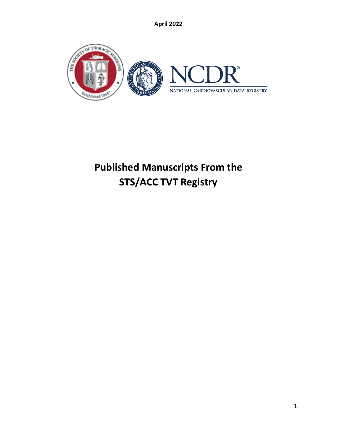

# **Published Manuscripts From the STS/ACC TVT Registry**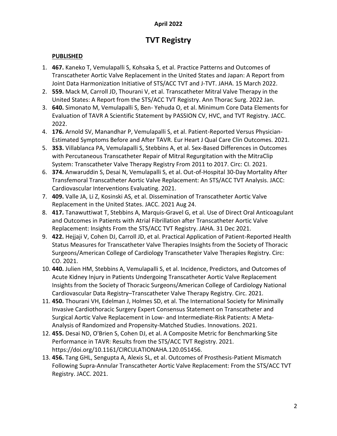# **TVT Registry**

# **PUBLISHED**

- 1. **467.** Kaneko T, Vemulapalli S, Kohsaka S, et al. Practice Patterns and Outcomes of Transcatheter Aortic Valve Replacement in the United States and Japan: A Report from Joint Data Harmonization Initiative of STS/ACC TVT and J‐TVT. JAHA. 15 March 2022.
- 2. **559.** Mack M, Carroll JD, Thourani V, et al. Transcatheter Mitral Valve Therapy in the United States: A Report from the STS/ACC TVT Registry. Ann Thorac Surg. 2022 Jan.
- 3. **640.** Simonato M, Vemulapalli S, Ben- Yehuda O, et al. Minimum Core Data Elements for Evaluation of TAVR A Scientific Statement by PASSION CV, HVC, and TVT Registry. JACC. 2022.
- 4. **176.** Arnold SV, Manandhar P, Vemulapalli S, et al. Patient-Reported Versus Physician-Estimated Symptoms Before and After TAVR. Eur Heart J Qual Care Clin Outcomes. 2021.
- 5. **353.** Villablanca PA, Vemulapalli S, Stebbins A, et al. Sex-Based Differences in Outcomes with Percutaneous Transcatheter Repair of Mitral Regurgitation with the MitraClip System: Transcatheter Valve Therapy Registry From 2011 to 2017. Circ: CI. 2021.
- 6. **374.** Anwaruddin S, Desai N, Vemulapalli S, et al. Out-of-Hospital 30-Day Mortality After Transfemoral Transcatheter Aortic Valve Replacement: An STS/ACC TVT Analysis. JACC: Cardiovascular Interventions Evaluating. 2021.
- 7. **409.** Valle JA, Li Z, Kosinski AS, et al. Dissemination of Transcatheter Aortic Valve Replacement in the United States. JACC. 2021 Aug 24.
- 8. **417.** Tanawuttiwat T, Stebbins A, Marquis‐Gravel G, et al. Use of Direct Oral Anticoagulant and Outcomes in Patients with Atrial Fibrillation after Transcatheter Aortic Valve Replacement: Insights From the STS/ACC TVT Registry. JAHA. 31 Dec 2021.
- 9. **422.** Hejjaji V, Cohen DJ, Carroll JD, et al. Practical Application of Patient-Reported Health Status Measures for Transcatheter Valve Therapies Insights from the Society of Thoracic Surgeons/American College of Cardiology Transcatheter Valve Therapies Registry. Circ: CO. 2021.
- 10. **440.** Julien HM, Stebbins A, Vemulapalli S, et al. Incidence, Predictors, and Outcomes of Acute Kidney Injury in Patients Undergoing Transcatheter Aortic Valve Replacement Insights from the Society of Thoracic Surgeons/American College of Cardiology National Cardiovascular Data Registry–Transcatheter Valve Therapy Registry. Circ. 2021.
- 11. **450.** Thourani VH, Edelman J, Holmes SD, et al. The International Society for Minimally Invasive Cardiothoracic Surgery Expert Consensus Statement on Transcatheter and Surgical Aortic Valve Replacement in Low- and Intermediate-Risk Patients: A Meta-Analysis of Randomized and Propensity-Matched Studies. Innovations. 2021.
- 12. **455.** Desai ND, O'Brien S, Cohen DJ, et al. A Composite Metric for Benchmarking Site Performance in TAVR: Results from the STS/ACC TVT Registry. 2021. https://doi.org/10.1161/CIRCULATIONAHA.120.051456.
- 13. **456.** Tang GHL, Sengupta A, Alexis SL, et al. Outcomes of Prosthesis-Patient Mismatch Following Supra-Annular Transcatheter Aortic Valve Replacement: From the STS/ACC TVT Registry. JACC. 2021.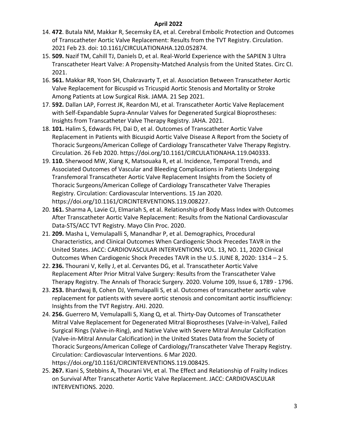- 14. **472**. Butala NM, Makkar R, Secemsky EA, et al. Cerebral Embolic Protection and Outcomes of Transcatheter Aortic Valve Replacement: Results from the TVT Registry. Circulation. 2021 Feb 23. doi: 10.1161/CIRCULATIONAHA.120.052874.
- 15. **509.** Nazif TM, Cahill TJ, Daniels D, et al. Real-World Experience with the SAPIEN 3 Ultra Transcatheter Heart Valve: A Propensity-Matched Analysis from the United States. Circ CI. 2021.
- 16. **561.** Makkar RR, Yoon SH, Chakravarty T, et al. Association Between Transcatheter Aortic Valve Replacement for Bicuspid vs Tricuspid Aortic Stenosis and Mortality or Stroke Among Patients at Low Surgical Risk. JAMA. 21 Sep 2021.
- 17. **592.** Dallan LAP, Forrest JK, Reardon MJ, et al. Transcatheter Aortic Valve Replacement with Self-Expandable Supra-Annular Valves for Degenerated Surgical Bioprostheses: Insights from Transcatheter Valve Therapy Registry. JAHA. 2021.
- 18. **101.** Halim S, Edwards FH, Dai D, et al. Outcomes of Transcatheter Aortic Valve Replacement in Patients with Bicuspid Aortic Valve Disease A Report from the Society of Thoracic Surgeons/American College of Cardiology Transcatheter Valve Therapy Registry. Circulation. 26 Feb 2020. https://doi.org/10.1161/CIRCULATIONAHA.119.040333.
- 19. **110.** Sherwood MW, Xiang K, Matsouaka R, et al. Incidence, Temporal Trends, and Associated Outcomes of Vascular and Bleeding Complications in Patients Undergoing Transfemoral Transcatheter Aortic Valve Replacement Insights from the Society of Thoracic Surgeons/American College of Cardiology Transcatheter Valve Therapies Registry. Circulation: Cardiovascular Interventions. 15 Jan 2020. https://doi.org/10.1161/CIRCINTERVENTIONS.119.008227.
- 20. **161.** Sharma A, Lavie CJ, Elmariah S, et al. Relationship of Body Mass Index with Outcomes After Transcatheter Aortic Valve Replacement: Results from the National Cardiovascular Data-STS/ACC TVT Registry. Mayo Clin Proc. 2020.
- 21. **209.** Masha L, Vemulapalli S, Manandhar P, et al. Demographics, Procedural Characteristics, and Clinical Outcomes When Cardiogenic Shock Precedes TAVR in the United States. JACC: CARDIOVASCULAR INTERVENTIONS VOL. 13, NO. 11, 2020 Clinical Outcomes When Cardiogenic Shock Precedes TAVR in the U.S. JUNE 8, 2020: 1314 – 2 5.
- 22. **236.** Thourani V, Kelly J, et al. Cervantes DG, et al. Transcatheter Aortic Valve Replacement After Prior Mitral Valve Surgery: Results from the Transcatheter Valve Therapy Registry. The Annals of Thoracic Surgery. 2020. Volume 109, Issue 6, 1789 - 1796.
- 23. **253.** Bhardwaj B, Cohen DJ, Vemulapalli S, et al. Outcomes of transcatheter aortic valve replacement for patients with severe aortic stenosis and concomitant aortic insufficiency: Insights from the TVT Registry. AHJ. 2020.
- 24. **256.** Guerrero M, Vemulapalli S, Xiang Q, et al. Thirty-Day Outcomes of Transcatheter Mitral Valve Replacement for Degenerated Mitral Bioprostheses (Valve-in-Valve), Failed Surgical Rings (Valve-in-Ring), and Native Valve with Severe Mitral Annular Calcification (Valve-in-Mitral Annular Calcification) in the United States Data from the Society of Thoracic Surgeons/American College of Cardiology/Transcatheter Valve Therapy Registry. Circulation: Cardiovascular Interventions. 6 Mar 2020. https://doi.org/10.1161/CIRCINTERVENTIONS.119.008425.
- 25. **267.** Kiani S, Stebbins A, Thourani VH, et al. The Effect and Relationship of Frailty Indices on Survival After Transcatheter Aortic Valve Replacement. JACC: CARDIOVASCULAR INTERVENTIONS. 2020.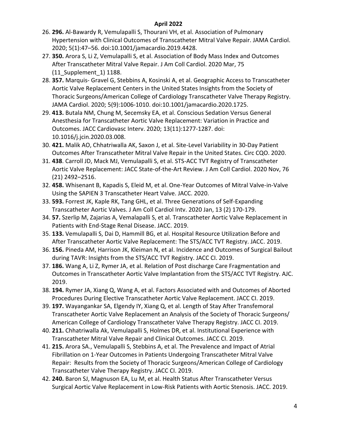- 26. **296.** Al-Bawardy R, Vemulapalli S, Thourani VH, et al. Association of Pulmonary Hypertension with Clinical Outcomes of Transcatheter Mitral Valve Repair. JAMA Cardiol. 2020; 5(1):47–56. doi:10.1001/jamacardio.2019.4428.
- 27. **350.** Arora S, Li Z, Vemulapalli S, et al. Association of Body Mass Index and Outcomes After Transcatheter Mitral Valve Repair. J Am Coll Cardiol. 2020 Mar, 75 (11\_Supplement\_1) 1188.
- 28. **357.** Marquis- Gravel G, Stebbins A, Kosinski A, et al. Geographic Access to Transcatheter Aortic Valve Replacement Centers in the United States Insights from the Society of Thoracic Surgeons/American College of Cardiology Transcatheter Valve Therapy Registry. JAMA Cardiol. 2020; 5(9):1006-1010. doi:10.1001/jamacardio.2020.1725.
- 29. **413.** Butala NM, Chung M, Secemsky EA, et al. Conscious Sedation Versus General Anesthesia for Transcatheter Aortic Valve Replacement: Variation in Practice and Outcomes. JACC Cardiovasc Interv. 2020; 13(11):1277-1287. doi: 10.1016/j.jcin.2020.03.008.
- 30. **421.** Malik AO, Chhatriwalla AK, Saxon J, et al. Site-Level Variability in 30-Day Patient Outcomes After Transcatheter Mitral Valve Repair in the United States. Circ CQO. 2020.
- 31. **438**. Carroll JD, Mack MJ, Vemulapalli S, et al. STS-ACC TVT Registry of Transcatheter Aortic Valve Replacement: JACC State-of-the-Art Review. J Am Coll Cardiol. 2020 Nov, 76 (21) 2492–2516.
- 32. **458.** Whisenant B, Kapadis S, Eleid M, et al. One-Year Outcomes of Mitral Valve-in-Valve Using the SAPIEN 3 Transcatheter Heart Valve. JACC. 2020.
- 33. **593.** Forrest JK, Kaple RK, Tang GHL, et al. Three Generations of Self-Expanding Transcatheter Aortic Valves. J Am Coll Cardiol Intv. 2020 Jan, 13 (2) 170-179.
- 34. **57.** Szerlip M, Zajarias A, Vemalapalli S, et al. Transcatheter Aortic Valve Replacement in Patients with End-Stage Renal Disease. JACC. 2019.
- 35. **133.** Vemulapalli S, Dai D, Hammill BG, et al. Hospital Resource Utilization Before and After Transcatheter Aortic Valve Replacement: The STS/ACC TVT Registry. JACC. 2019.
- 36. **156.** Pineda AM, Harrison JK, Kleiman N, et al. Incidence and Outcomes of Surgical Bailout during TAVR: Insights from the STS/ACC TVT Registry. JACC CI. 2019.
- 37. **186.** Wang A, Li Z, Rymer JA, et al. Relation of Post discharge Care Fragmentation and Outcomes in Transcatheter Aortic Valve Implantation from the STS/ACC TVT Registry. AJC. 2019.
- 38. **194.** Rymer JA, Xiang Q, Wang A, et al. Factors Associated with and Outcomes of Aborted Procedures During Elective Transcatheter Aortic Valve Replacement. JACC CI. 2019.
- 39. **197.** Wayangankar SA, Elgendy IY, Xiang Q, et al. Length of Stay After Transfemoral Transcatheter Aortic Valve Replacement an Analysis of the Society of Thoracic Surgeons/ American College of Cardiology Transcatheter Valve Therapy Registry. JACC CI. 2019.
- 40. **211.** Chhatriwalla Ak, Vemulapalli S, Holmes DR, et al. Institutional Experience with Transcatheter Mitral Valve Repair and Clinical Outcomes. JACC CI. 2019.
- 41. **215.** Arora SA., Vemulapalli S, Stebbins A, et al. The Prevalence and Impact of Atrial Fibrillation on 1-Year Outcomes in Patients Undergoing Transcatheter Mitral Valve Repair: Results from the Society of Thoracic Surgeons/American College of Cardiology Transcatheter Valve Therapy Registry. JACC CI. 2019.
- 42. **240.** Baron SJ, Magnuson EA, Lu M, et al. Health Status After Transcatheter Versus Surgical Aortic Valve Replacement in Low-Risk Patients with Aortic Stenosis. JACC. 2019.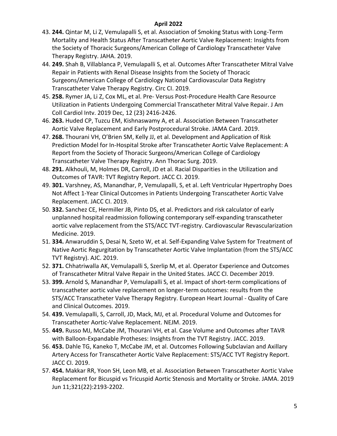- 43. **244.** Qintar M, Li Z, Vemulapalli S, et al. Association of Smoking Status with Long-Term Mortality and Health Status After Transcatheter Aortic Valve Replacement: Insights from the Society of Thoracic Surgeons/American College of Cardiology Transcatheter Valve Therapy Registry. JAHA. 2019.
- 44. **249.** Shah B, Villablanca P, Vemulapalli S, et al. Outcomes After Transcatheter Mitral Valve Repair in Patients with Renal Disease Insights from the Society of Thoracic Surgeons/American College of Cardiology National Cardiovascular Data Registry Transcatheter Valve Therapy Registry. Circ CI. 2019.
- 45. **258.** Rymer JA, Li Z, Cox ML, et al. Pre- Versus Post-Procedure Health Care Resource Utilization in Patients Undergoing Commercial Transcatheter Mitral Valve Repair. J Am Coll Cardiol Intv. 2019 Dec, 12 (23) 2416-2426.
- 46. **263.** Huded CP, Tuzcu EM, Kishnaswamy A, et al. Association Between Transcatheter Aortic Valve Replacement and Early Postprocedural Stroke. JAMA Card. 2019.
- 47. **268.** Thourani VH, O'Brien SM, Kelly JJ, et al. Development and Application of Risk Prediction Model for In-Hospital Stroke after Transcatheter Aortic Valve Replacement: A Report from the Society of Thoracic Surgeons/American College of Cardiology Transcatheter Valve Therapy Registry. Ann Thorac Surg. 2019.
- 48. **291.** Alkhouli, M, Holmes DR, Carroll, JD et al. Racial Disparities in the Utilization and Outcomes of TAVR: TVT Registry Report. JACC CI. 2019.
- 49. **301.** Varshney, AS, Manandhar, P, Vemulapalli, S, et al. Left Ventricular Hypertrophy Does Not Affect 1-Year Clinical Outcomes in Patients Undergoing Transcatheter Aortic Valve Replacement. JACC CI. 2019.
- 50. **332.** Sanchez CE, Hermiller JB, Pinto DS, et al. Predictors and risk calculator of early unplanned hospital readmission following contemporary self-expanding transcatheter aortic valve replacement from the STS/ACC TVT-registry. Cardiovascular Revascularization Medicine. 2019.
- 51. **334.** Anwaruddin S, Desai N, Szeto W, et al. Self-Expanding Valve System for Treatment of Native Aortic Regurgitation by Transcatheter Aortic Valve Implantation (from the STS/ACC TVT Registry). AJC. 2019.
- 52. **371.** Chhatriwalla AK, Vemulapalli S, Szerlip M, et al. Operator Experience and Outcomes of Transcatheter Mitral Valve Repair in the United States. JACC CI. December 2019.
- 53. **399.** Arnold S, Manandhar P, Vemulapalli S, et al. Impact of short-term complications of transcatheter aortic valve replacement on longer-term outcomes: results from the STS/ACC Transcatheter Valve Therapy Registry. European Heart Journal - Quality of Care and Clinical Outcomes. 2019.
- 54. **439.** Vemulapalli, S, Carroll, JD, Mack, MJ, et al. Procedural Volume and Outcomes for Transcatheter Aortic-Valve Replacement. NEJM. 2019.
- 55. **449.** Russo MJ, McCabe JM, Thourani VH, et al. Case Volume and Outcomes after TAVR with Balloon-Expandable Protheses: Insights from the TVT Registry. JACC. 2019.
- 56. **453.** Dahle TG, Kaneko T, McCabe JM, et al. Outcomes Following Subclavian and Axillary Artery Access for Transcatheter Aortic Valve Replacement: STS/ACC TVT Registry Report. JACC CI. 2019.
- 57. **454.** Makkar RR, Yoon SH, Leon MB, et al. Association Between Transcatheter Aortic Valve Replacement for Bicuspid vs Tricuspid Aortic Stenosis and Mortality or Stroke. JAMA. 2019 Jun 11;321(22):2193-2202.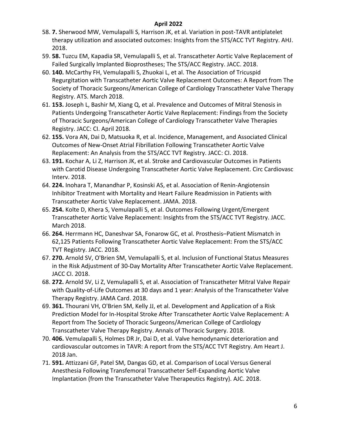- 58. **7.** Sherwood MW, Vemulapalli S, Harrison JK, et al. Variation in post-TAVR antiplatelet therapy utilization and associated outcomes: Insights from the STS/ACC TVT Registry. AHJ. 2018.
- 59. **58.** Tuzcu EM, Kapadia SR, Vemulapalli S, et al. Transcatheter Aortic Valve Replacement of Failed Surgically Implanted Bioprostheses; The STS/ACC Registry. JACC. 2018.
- 60. **140.** McCarthy FH, Vemulapalli S, Zhuokai L, et al. The Association of Tricuspid Regurgitation with Transcatheter Aortic Valve Replacement Outcomes: A Report from The Society of Thoracic Surgeons/American College of Cardiology Transcatheter Valve Therapy Registry. ATS. March 2018.
- 61. **153.** Joseph L, Bashir M, Xiang Q, et al. Prevalence and Outcomes of Mitral Stenosis in Patients Undergoing Transcatheter Aortic Valve Replacement: Findings from the Society of Thoracic Surgeons/American College of Cardiology Transcatheter Valve Therapies Registry. JACC: CI. April 2018.
- 62. **155.** Vora AN, Dai D, Matsuoka R, et al. Incidence, Management, and Associated Clinical Outcomes of New-Onset Atrial Fibrillation Following Transcatheter Aortic Valve Replacement: An Analysis from the STS/ACC TVT Registry. JACC: CI. 2018.
- 63. **191.** Kochar A, Li Z, Harrison JK, et al. Stroke and Cardiovascular Outcomes in Patients with Carotid Disease Undergoing Transcatheter Aortic Valve Replacement. Circ Cardiovasc Interv. 2018.
- 64. **224.** Inohara T, Manandhar P, Kosinski AS, et al. Association of Renin-Angiotensin Inhibitor Treatment with Mortality and Heart Failure Readmission in Patients with Transcatheter Aortic Valve Replacement. JAMA. 2018.
- 65. **254.** Kolte D, Khera S, Vemulapalli S, et al. Outcomes Following Urgent/Emergent Transcatheter Aortic Valve Replacement: Insights from the STS/ACC TVT Registry. JACC. March 2018.
- 66. **264.** Herrmann HC, Daneshvar SA, Fonarow GC, et al. Prosthesis–Patient Mismatch in 62,125 Patients Following Transcatheter Aortic Valve Replacement: From the STS/ACC TVT Registry. JACC. 2018.
- 67. **270.** Arnold SV, O'Brien SM, Vemulapalli S, et al. Inclusion of Functional Status Measures in the Risk Adjustment of 30-Day Mortality After Transcatheter Aortic Valve Replacement. JACC CI. 2018.
- 68. **272.** Arnold SV, Li Z, Vemulapalli S, et al. Association of Transcatheter Mitral Valve Repair with Quality-of-Life Outcomes at 30 days and 1 year: Analysis of the Transcatheter Valve Therapy Registry. JAMA Card. 2018.
- 69. **361.** Thourani VH, O'Brien SM, Kelly JJ, et al. Development and Application of a Risk Prediction Model for In-Hospital Stroke After Transcatheter Aortic Valve Replacement: A Report from The Society of Thoracic Surgeons/American College of Cardiology Transcatheter Valve Therapy Registry. Annals of Thoracic Surgery. 2018.
- 70. **406.** Vemulapalli S, Holmes DR Jr, Dai D, et al. Valve hemodynamic deterioration and cardiovascular outcomes in TAVR: A report from the STS/ACC TVT Registry. Am Heart J. 2018 Jan.
- 71. **591.** Attizzani GF, Patel SM, Dangas GD, et al. Comparison of Local Versus General Anesthesia Following Transfemoral Transcatheter Self-Expanding Aortic Valve Implantation (from the Transcatheter Valve Therapeutics Registry). AJC. 2018.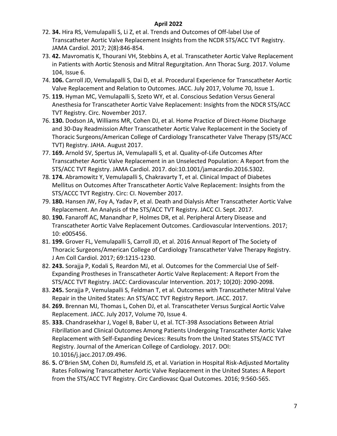- 72. **34.** Hira RS, Vemulapalli S, Li Z, et al. Trends and Outcomes of Off-label Use of Transcatheter Aortic Valve Replacement Insights from the NCDR STS/ACC TVT Registry. JAMA Cardiol. 2017; 2(8):846-854.
- 73. **42.** Mavromatis K, Thourani VH, Stebbins A, et al. Transcatheter Aortic Valve Replacement in Patients with Aortic Stenosis and Mitral Regurgitation. Ann Thorac Surg. 2017. Volume 104, Issue 6.
- 74. **106.** Carroll JD, Vemulapalli S, Dai D, et al. Procedural Experience for Transcatheter Aortic Valve Replacement and Relation to Outcomes. JACC. July 2017, Volume 70, Issue 1.
- 75. **119.** Hyman MC, Vemulapalli S, Szeto WY, et al. Conscious Sedation Versus General Anesthesia for Transcatheter Aortic Valve Replacement: Insights from the NDCR STS/ACC TVT Registry. Circ. November 2017.
- 76. **130.** Dodson JA, Williams MR, Cohen DJ, et al. Home Practice of Direct-Home Discharge and 30-Day Readmission After Transcatheter Aortic Valve Replacement in the Society of Thoracic Surgeons/American College of Cardiology Transcatheter Valve Therapy (STS/ACC TVT) Registry. JAHA. August 2017.
- 77. **169.** Arnold SV, Spertus JA, Vemulapalli S, et al. Quality-of-Life Outcomes After Transcatheter Aortic Valve Replacement in an Unselected Population: A Report from the STS/ACC TVT Registry. JAMA Cardiol. 2017. doi:10.1001/jamacardio.2016.5302.
- 78. **174.** Abramowitz Y, Vemulapalli S, Chakravarty T, et al. Clinical Impact of Diabetes Mellitus on Outcomes After Transcatheter Aortic Valve Replacement: Insights from the STS/ACCC TVT Registry. Circ: CI. November 2017.
- 79. **180.** Hansen JW, Foy A, Yadav P, et al. Death and Dialysis After Transcatheter Aortic Valve Replacement. An Analysis of the STS/ACC TVT Registry. JACC CI. Sept. 2017.
- 80. **190.** Fanaroff AC, Manandhar P, Holmes DR, et al. Peripheral Artery Disease and Transcatheter Aortic Valve Replacement Outcomes. Cardiovascular Interventions. 2017; 10: e005456.
- 81. **199.** Grover FL, Vemulapalli S, Carroll JD, et al. 2016 Annual Report of The Society of Thoracic Surgeons/American College of Cardiology Transcatheter Valve Therapy Registry. J Am Coll Cardiol. 2017; 69:1215-1230.
- 82. **243.** Sorajja P, Kodali S, Reardon MJ, et al. Outcomes for the Commercial Use of Self-Expanding Prostheses in Transcatheter Aortic Valve Replacement: A Report From the STS/ACC TVT Registry. JACC: Cardiovascular Intervention. 2017; 10(20): 2090-2098.
- 83. **245.** Sorajja P, Vemulapalli S, Feldman T, et al. Outcomes with Transcatheter Mitral Valve Repair in the United States: An STS/ACC TVT Registry Report. JACC. 2017.
- 84. **269.** Brennan MJ, Thomas L, Cohen DJ, et al. Transcatheter Versus Surgical Aortic Valve Replacement. JACC. July 2017, Volume 70, Issue 4.
- 85. **333.** Chandrasekhar J, Vogel B, Baber U, et al. TCT-398 Associations Between Atrial Fibrillation and Clinical Outcomes Among Patients Undergoing Transcatheter Aortic Valve Replacement with Self-Expanding Devices: Results from the United States STS/ACC TVT Registry. Journal of the American College of Cardiology. 2017. DOI: 10.1016/j.jacc.2017.09.496.
- 86. **5.** O'Brien SM, Cohen DJ, Rumsfeld JS, et al. Variation in Hospital Risk-Adjusted Mortality Rates Following Transcatheter Aortic Valve Replacement in the United States: A Report from the STS/ACC TVT Registry. Circ Cardiovasc Qual Outcomes. 2016; 9:560-565.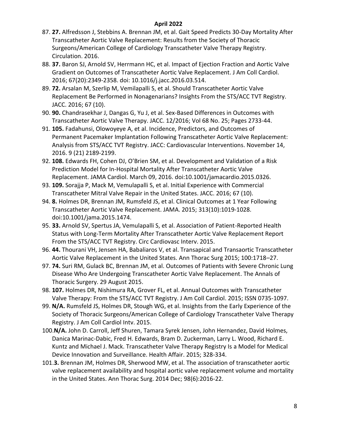- 87. **27.** Alfredsson J, Stebbins A. Brennan JM, et al. Gait Speed Predicts 30-Day Mortality After Transcatheter Aortic Valve Replacement: Results from the Society of Thoracic Surgeons/American College of Cardiology Transcatheter Valve Therapy Registry. Circulation. 2016.
- 88. **37.** Baron SJ, Arnold SV, Herrmann HC, et al. Impact of Ejection Fraction and Aortic Valve Gradient on Outcomes of Transcatheter Aortic Valve Replacement. J Am Coll Cardiol. 2016; 67(20):2349-2358. doi: 10.1016/j.jacc.2016.03.514.
- 89. **72.** Arsalan M, Szerlip M, Vemilapalli S, et al. Should Transcatheter Aortic Valve Replacement Be Performed in Nonagenarians? Insights From the STS/ACC TVT Registry. JACC. 2016; 67 (10).
- 90. **90.** Chandrasekhar J, Dangas G, Yu J, et al. Sex-Based Differences in Outcomes with Transcatheter Aortic Valve Therapy. JACC. 12/2016; Vol 68 No. 25; Pages 2733-44.
- 91. **105.** Fadahunsi, Olowoyeye A, et al. Incidence, Predictors, and Outcomes of Permanent Pacemaker Implantation Following Transcatheter Aortic Valve Replacement: Analysis from STS/ACC TVT Registry. JACC: Cardiovascular Interventions. November 14, 2016. 9 (21) 2189-2199.
- 92. **108.** Edwards FH, Cohen DJ, O'Brien SM, et al. Development and Validation of a Risk Prediction Model for In-Hospital Mortality After Transcatheter Aortic Valve Replacement. JAMA Cardiol. March 09, 2016. doi:10.1001/jamacardio.2015.0326.
- 93. **109.** Sorajja P, Mack M, Vemulapalli S, et al. Initial Experience with Commercial Transcatheter Mitral Valve Repair in the United States. JACC. 2016; 67 (10).
- 94. **8.** Holmes DR, Brennan JM, Rumsfeld JS, et al. Clinical Outcomes at 1 Year Following Transcatheter Aortic Valve Replacement. JAMA. 2015; 313(10):1019-1028. doi:10.1001/jama.2015.1474.
- 95. **33.** Arnold SV, Spertus JA, Vemulapalli S, et al. Association of Patient-Reported Health Status with Long-Term Mortality After Transcatheter Aortic Valve Replacement Report From the STS/ACC TVT Registry. Circ Cardiovasc Interv. 2015.
- 96. **44.** Thourani VH, Jensen HA, Babaliaros V, et al. Transapical and Transaortic Transcatheter Aortic Valve Replacement in the United States. Ann Thorac Surg 2015; 100:1718–27.
- 97. **74.** Suri RM, Gulack BC, Brennan JM, et al. Outcomes of Patients with Severe Chronic Lung Disease Who Are Undergoing Transcatheter Aortic Valve Replacement. The Annals of Thoracic Surgery. 29 August 2015.
- 98. **107.** Holmes DR, Nishimura RA, Grover FL, et al. Annual Outcomes with Transcatheter Valve Therapy: From the STS/ACC TVT Registry. J Am Coll Cardiol. 2015; ISSN 0735-1097.
- 99. **N/A.** Rumsfeld JS, Holmes DR, Stough WG, et al. Insights from the Early Experience of the Society of Thoracic Surgeons/American College of Cardiology Transcatheter Valve Therapy Registry. J Am Coll Cardiol Intv. 2015.
- 100.**N/A.** John D. Carroll, Jeff Shuren, Tamara Syrek Jensen, John Hernandez, David Holmes, Danica Marinac-Dabic, Fred H. Edwards, Bram D. Zuckerman, Larry L. Wood, Richard E. Kuntz and Michael J. Mack. Transcatheter Valve Therapy Registry Is a Model for Medical Device Innovation and Surveillance. Health Affair. 2015; 328-334.
- 101.**3.** Brennan JM, Holmes DR, Sherwood MW, et al. The association of transcatheter aortic valve replacement availability and hospital aortic valve replacement volume and mortality in the United States. Ann Thorac Surg. 2014 Dec; 98(6):2016-22.